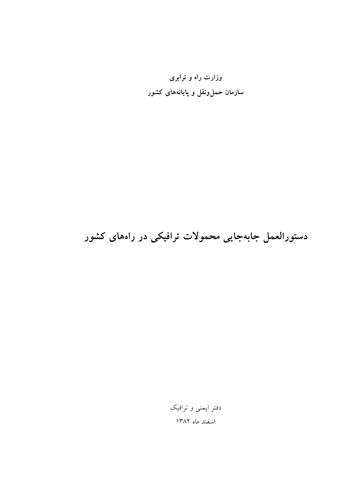وزارت راه و ترابری سازمان حملeنقل و پایانههای کشور

دستورالعمل جابهجایی محمولات ترافیکی در راههای کشور

دفتر ایمنی و ترافیک اسفند ماه ۱۳۸۲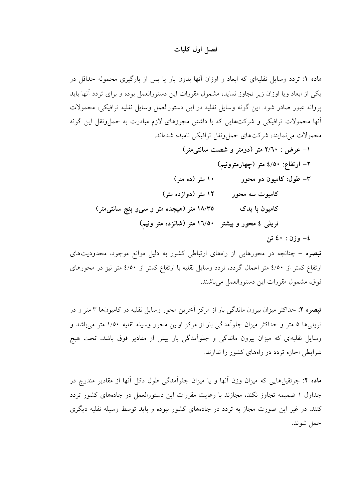#### فصل اول كليات

ماده ۱: تردد وسایل نقلیهای که ابعاد و اوزان آنها بدون بار یا پس از بارگیری محموله حداقل در یکی از ابعاد ویا اوزان زیر تجاوز نماید، مشمول مقررات این دستورالعمل بوده و برای تردد آنها باید پروانه عبور صادر شود. این گونه وسایل نقلیه در این دستورالعمل وسایل نقلیه ترافیکی، محمولات أنها محمولات ترافیکی و شرکتهایی که با داشتن مجوزهای لازم مبادرت به حملونقل این گونه محمولات می نمایند، شرکتهای حمل ونقل ترافیکی نامیده شدهاند.

۱- عرض : ۲/٦٠ متر (دومتر و شصت سانتی متر) ۲– ارتفاع: ٤/٥٠ متر (چهارمترونیم) ٣- طول: کاميون دو محوړ ۱۰ متر (ده متر) ۱۲ متر (دوازده متر) کامیوت سه محور ۱۸/۳۵ متر (هیجده متر و سی و پنج سانتی متر) کامیون با یدک تریلی ٤ محور و بیشتر ١٦/٥٠ متر (شانزده متر ونیم)

٤- وزن : ٤٠ تن

تبصره – چنانچه در محورهایی از راههای ارتباطی کشور به دلیل موانع موجود، محدودیتهای ارتفاع کمتر از ٤/٥٠ متر اعمال گردد، تردد وسایل نقلیه با ارتفاع کمتر از ٤/٥٠ متر نیز در محورهای فوق، مشمول مقررات این دستورالعمل می باشند.

**تبصره ۲:** حداکثر میزان بیرون ماندگی بار از مرکز آخرین محور وسایل نقلیه در کامپونها ۳ متر و در تریلی ها ۵ متر و حداکثر میزان جلواًمدگی بار از مرکز اولین محور وسیله نقلیه ۱/۵۰ متر می باشد و وسایل نقلیهای که میزان بیرون ماندگی و جلواًمدگی بار بیش از مقادیر فوق باشد، تحت هیچ شرایطی اجازه تردد در راههای کشور را ندارند.

**ماده ۲**: جرثقیل هایی که میزان وزن آنها و یا میزان جلواًمدگی طول دکل آنها از مقادیر مندرج در جداول ۱ ضمیمه تجاوز نکند، مجازند با رعایت مقررات این دستورالعمل در جادههای کشور تردد کنند. در غیر این صورت مجاز به تردد در جادههای کشور نبوده و باید توسط وسیله نقلیه دیگری حمل شوند.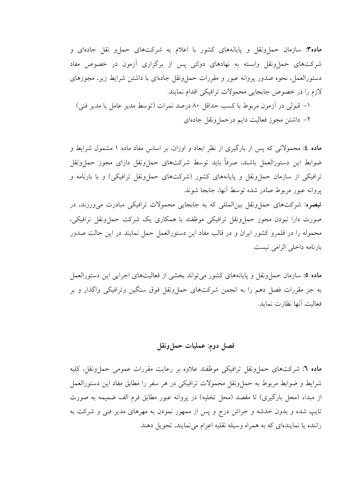ماده۳: سازمان حمل ونقل و پایانههای کشور با اعلام به شرکتهای حما و نقل جادهای و شرکتهای حمل ونقل وابسته به نهادهای دولتی پس از برگزاری آزمون در خصوص مفاد دستورالعمل، نحوه صدور يروانه عبور و مقررات حمل ونقل جادهاي با داشتن شرايط زير، مجوزهاي لازم را در خصوص جابجایی محمولات ترافیکی اقدام نمایند.

۱– قبولی در اَزمون مربوط با کسب حداقل ۸۰ درصد نمرات (توسط مدیر عامل یا مدیر فنی) ٢– داشتن مجوز فعاليت دايم درحمل ونقل جادهاي

ماده ٤: محمولاتی که پس از بارگیری از نظر ابعاد و اوزان، بر اساس مفاد ماده ١ مشمول شرایط و ضوابط این دستورالعمل باشند، صرفاً باید توسط شرکتهای حمل،ونقل دارای مجوز حمل،ونقل ترافیکی از سازمان حمل ونقل و پایانههای کشور (شرکتهای حمل ونقل ترافیکی) و با بارنامه و پروانه عبور مربوط صادر شده توسط آنها، جابجا شوند. <mark>تبصره:</mark> شرکتهای حمل ونقل بین|لمللی که به جابجایی محمولات ترافیکی مبادرت می ورزند، در

صورت دارا نبودن مجوز حمل ونقل ترافيكي موظفند با همكاري يك شركت حمل ونقل ترافيكي، محموله را در قلمرو کشور ایران و در قالب مفاد این دستورالعمل حمل نمایند در این حالت صدور بارنامه داخلی الزامی نیست.

ماده ٥: سازمان حملوونقل و پایانههای کشور میتواند بخشی از فعالیتهای اجرایی این دستورالعمل به جز مقررات فصل دهم را به انجمن شرکتهای حمل ونقل فوق سنگین وترافیکی واگذار و بر فعاليت أنها نظارت نمايد.

# فصل دوم: عمليات حمل ونقل

ماده ٦: شركتهاي حمل ونقل ترافيكي موظفند علاوه بر رعايت مقررات عمومي حمل ونقل، كليه شرايط و ضوابط مربوط به حمل ونقل محمولات ترافيكي در هر سفر را مطابق مفاد اين دستورالعمل از مبداء (محل بارگیری) تا مقصد (محل تخلیه) در پروانه عبور مطابق فرم الف ضمیمه به صورت تایپ شده و بدون خدشه و خراش درج و پس از ممهور نمودن به مهرهای مدیر فنی و شرکت به راننده یا نمایندهای که به همراه وسیله نقلیه اعزام می نمایند، تحویل دهند.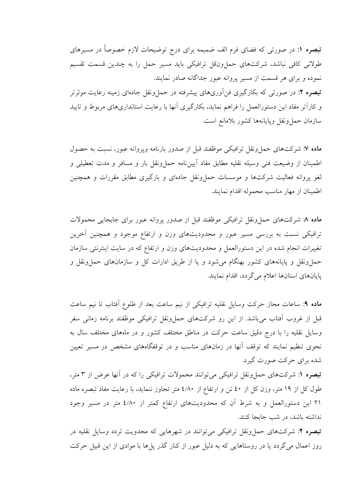**تبصره ۱:** در صورتی که فضای فرم الف ضمیمه برای درج توضیحات لازم خصوصاً در مسیرهای طولانی کافی نباشد، شرکتهای حمل ونقل ترافیکی باید مسیر حمل را به چندین قسمت تقسیم نموده و برای هر قسمت از مسیر پروانه عبور جداگانه صادر نمایند. <mark>تبصره ۲:</mark> در صورت<sub>ی</sub> که بکارگیری فنآوریهای پیشرفته در حملونقل جادهای زمینه رعایت موثرتر و كاراًتر مفاد اين دستورالعمل را فراهم نمايد، بكارگيري أنها با رعايت استانداريهاي مربوط و تاييد سازمان حمل ونقل ويايانهها كشور بلامانع است.

ماده ۷: شرکتهای حمل ونقل ترافیکی موظفند قبل از صدور بارنامه وپروانه عبور، نسبت به حصول اطمینان از وضیعت فنی وسیله نقلیه مطابق مفاد آییننامه حملونقل بار و مسافر و مدت تعطیلی و لغو پروانه فعالیت شرکتها و موسسات حمل ونقل جادهای و بارگیری مطابق مقررات و همچنین اطمينان از مهار مناسب محموله اقدام نمايند.

ماده ٨ شركتهاى حمل ونقل ترافيكي موظفند قبل از صدور پروانه عبور براى جابجايي محمولات ترافیکی نسبت به بررسی مسیر عبور و محدودیتهای وزن و ارتفاع موجود و همچنین آخرین تغییرات انجام شده در این دستورالعمل و محدودیتهای وزن و ارتفاع که در سایت اینترنتی سازمان حملونقل و پایانههای کشور بهنگام میشود و یا از طریق ادارات کل و سازمانهای حمل ونقل و يايانهاي استانها اعلام مي گردد، اقدام نمايند.

ماده ٩: ساعات مجاز حركت وسايل نقليه ترافيكي از نيم ساعت بعد از طلوع آفتاب تا نيم ساعت قبل از غروب آفتاب می باشد. از این رو شرکتهای حمل ونقل ترافیکی موظفند برنامه زمانی سفر وسایل نقلیه را با درج دقیق ساعت حرکت در مناطق مختلف کشور و در ماههای مختلف سال به نحوی تنظیم نمایند که توقف آنها در زمانهای مناسب و در توقفگاههای مشخص در مسیر تعیین شده برای حرکت صورت گیرد.

تبصره ۱: شرکتهای حمل ونقل ترافیکی می توانند محمولات ترافیکی را که در آنها عرض از ۳ متر، طول کل از ١٩ متر، وزن کل از ٤٠ تن و ارتفاع از ٤/٨٠ متر تجاوز ننمايد، با رعايت مفاد تبصره ماده ۲۱ این دستورالعمل و به شرط آن که محدودیتهای ارتفاع کمتر از ٤/٨٠ متر در مسیر وجود نداشته باشد، در شب جابجا كنند.

تبصره ۲: شرکتهای حمل ونقل ترافیکی می توانند در شهرهایی که محدویت تردد وسایل نقلیه در روز اعمال می گردد یا در روستاهایی که به دلیل عبور از کنار گذر پل ها با موادی از این قبیل حرکت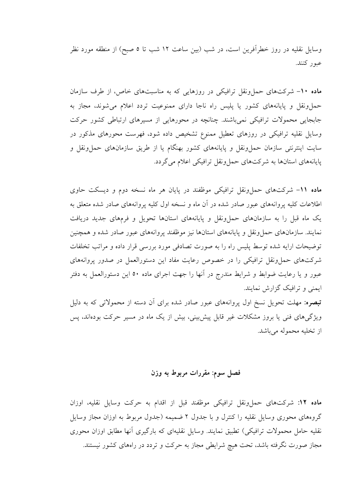وسایل نقلیه در روز خطرآفرین است، در شب (بین ساعت ۱۲ شب تا ٥ صبح) از منطقه مورد نظر عبور كنند.

ماده ۱۰- شرکتهای حمل ونقل ترافیکی در روزهایی که به مناسبتهای خاص، از طرف سازمان حمل ونقل و پایانههای کشور یا پلیس راه ناجا دارای ممنوعیت تردد اعلام می شوند، مجاز به جابجایی محمولات ترافیکی نمی باشند. چنانچه در محورهایی از مسیرهای ارتباطی کشور حرکت وسایل نقلیه ترافیکی در روزهای تعطیل ممنوع تشخیص داده شود، فهرست محورهای مذکور در سایت اینترنتی سازمان حمل ونقل و پایانههای کشور بهنگام یا از طریق سازمانهای حمل ونقل و پایانههای استانها به شرکتهای حملونقل ترافیکی اعلام می گردد.

ماده ١١- شركتهاى حمل ونقل ترافيكي موظفند در پايان هر ماه نسخه دوم و ديسكت حاوى اطلاعات کلیه پروانههای عبور صادر شده در آن ماه و نسخه اول کلیه پروانههای صادر شده متعلق به یک ماه قبل را به سازمانهای حملونقل و پایانههای استانها تحویل و فرمهای جدید دریافت نمایند. سازمانهای حمل ونقل و پایانههای استانها نیز موظفند پروانههای عبور صادر شده و همچنین توضیحات ارایه شده توسط پلیس راه را به صورت تصادفی مورد بررسی قرار داده و مراتب تخلفات شرکتهای حمل ونقل ترافیکی را در خصوص رعایت مفاد این دستورالعمل در صدور پروانههای عبور و یا رعایت ضوابط و شرایط مندرج در آنها را جهت اجرای ماده ۵۰ این دستورالعمل به دفتر ایمنی و ترافیک گزارش نمایند.

<mark>تبصره: مه</mark>لت تحویل نسخ اول پروانههای عبور صادر شده برای آن دسته از محمولاتی که به دلیل ویژگیهای فنی یا بروز مشکلات غیر قابل پیش بینی، بیش از یک ماه در مسیر حرکت بودهاند، پس از تخليه محموله مي باشد.

# فصل سوم: مقررات مربوط به وزن

ماده ١٢: شركتهاى حملونقل ترافيكي موظفند قبل از اقدام به حركت وسايل نقليه، اوزان گروههای محوری وسایل نقلیه را کنترل و با جدول ۲ ضمیمه (جدول مربوط به اوزان مجاز وسایل نقلیه حامل محمولات ترافیکی) تطبیق نمایند. وسایل نقلیهای که بارگیری آنها مطابق اوزان محوری مجاز صورت نگرفته باشد، تحت هیچ شرایطی مجاز به حرکت و تردد در راههای کشور نیستند.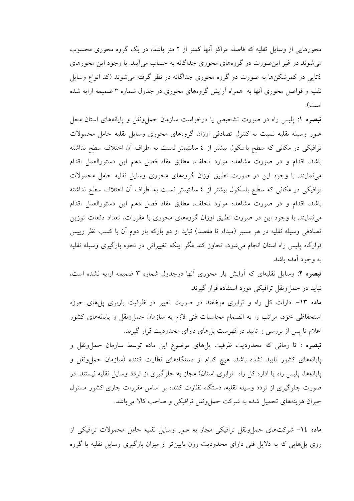محورهایی از وسایل تقلیه که فاصله مراکز آنها کمتر از ۲ متر باشد، در یک گروه محوری محسوب می شوند در غیر این صورت در گروههای محوری جداگانه به حساب می آیند. با وجود این محورهای ٤تايې در کمرشکنها به صورت دو گروه محوري جداگانه در نظر گرفته مي شوند (کد انواع وسايل نقلیه و فواصل محوری آنها به ًهمراه آرایش گروههای محوری در جدول شماره ۳ ضمیمه ارایه شده است).

تبصره ۱: پلیس راه در صورت تشخیص یا درخواست سازمان حمل ونقل و پایانههای استان محل عبور وسیله نقلیه نسبت به کنترل تصادفی اوزان گروههای محوری وسایل نقلیه حامل محمولات ترافیکی در مکانی که سطح باسکول بیشتر از ٤ سانتیمتر نسبت به اطراف آن اختلاف سطح نداشته باشد، اقدام و در صورت مشاهده موارد تخلف، مطابق مفاد فصل دهم این دستورالعمل اقدام می نمایند. با وجود این در صورت تطبیق اوزان گروههای محوری وسایل نقلیه حامل محمولات ترافیکی در مکانی که سطح باسکول بیشتر از ٤ سانتیمتر نسبت به اطراف آن اختلاف سطح نداشته باشد، اقدام و در صورت مشاهده موارد تخلف، مطابق مفاد فصل دهم این دستورالعمل اقدام می نمایند. با وجود این در صورت تطبیق اوزان گروههای محوری با مقررات، تعداد دفعات توزین تصادفی وسیله نقلیه در هر مسیر (مبداء تا مقصد) نباید از دو بارکه بار دوم اَن با کسب نظر رییس قرارگاه پلیس راه استان انجام می شود، تجاوز کند مگر اینکه تغییراتی در نحوه بارگیری وسیله نقلیه به وجود أمده باشد.

**تبصره ۲**: وسایل نقلیهای که آرایش بار محوری آنها درجدول شماره ۳ ضمیمه ارایه نشده است، نباید در حملونقل ترافیکی مورد استفاده قرار گیرند.

ماده ۱۳- ادارات کل راه و ترابری موظفند در صورت تغییر در ظرفیت باربری یا های حوزه استحفاظی خود، مراتب را به انضمام محاسبات فنی لازم به سازمان حملونقل و پایانههای کشور اعلام تا پس از بررسی و تایید در فهرست پلهای دارای محدودیت قرار گیرند.

<mark>تبصره :</mark> تا زمانی که محدودیت ظرفیت پلهای موضوع این ماده توسط سازمان حمل ونقل و پایانههای کشور تایید نشده باشد، هیچ کدام از دستگاههای نظارت کننده (سازمان حملونقل و پایانهها، پلیس راه یا اداره کل راه ترابری استان) مجاز به جلوگیری از تردد وسایل نقلیه نیستند. در صورت جلوگیری از تردد وسیله نقلیه، دستگاه نظارت کننده بر اساس مقررات جاری کشور مسئول جبران هزينههاي تحميل شده به شركت حمل ونقل ترافيكي و صاحب كالا مي باشد.

ماده ١٤- شركتهاى حملوونقل ترافيكي مجاز به عبور وسايل نقليه حامل محمولات ترافيكي از روی پلهایی که به دلایل فنی دارای محدودیت وزن پایینتر از میزان بارگیری وسایل نقلیه یا گروه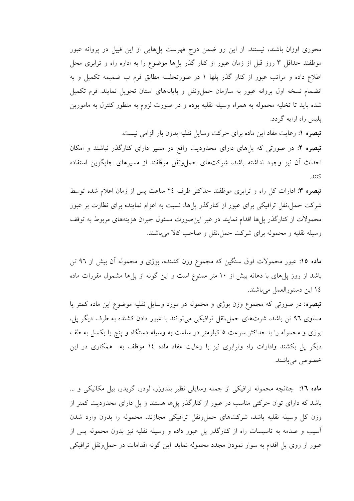محوری اوزان باشند، نیستند. از این رو ضمن درج فهرست پلهایی از این قبیل در پروانه عبور موظفند حداقل ۳ روز قبل از زمان عبور از کنار گذر پلها موضوع را به اداره راه و ترابری محل اطلاع داده و مراتب عبور از کنار گذر پلها ۱ در صورتجلسه مطابق فرم ب ضمیمه تکمیل و به انضمام نسخه اول پروانه عبور به سازمان حملونقل و پایانههای استان تحویل نمایند. فرم تکمیل شده باید تا تخلیه محموله به همراه وسیله نقلیه بوده و در صورت لزوم به منظور کنترل به مامورین پلیس راه ارایه گردد.

**تبصره ۱:** رعایت مفاد این ماده برای حرکت وسایل نقلیه بدون بار الزامی نیست.

**تبصره ۲**: در صورتی که پل۵ای دارای محدودیت واقع در مسیر دارای کنارگذر نباشند و امکان احداث أن نيز وجود نداشته باشد، شركتهاى حملٍ ونقل موظفند از مسيرهاى جايگزين استفاده كنند.

تبصره ٣: ادارات كل راه و ترابري موظفند حداكثر ظرف ٢٤ ساعت پس از زمان اعلام شده توسط شرکت حمل،نقل ترافیکی برای عبور از کنارگذر یا ها، نسبت به اعزام نماینده برای نظارت بر عبور محمولات از کنارگذر پل ها اقدام نمایند در غیر این صورت مسئول جبران هزینههای مربوط به توقف وسیله نقلیه و محموله برای شرکت حمل،نقل و صاحب کالا می باشند.

ماده ۱۵: عبور محمولات فوق سنگین که مجموع وزن کشنده، بوژی و محموله آن بیش از ۹٦ تن باشد از روز پل های با دهانه بیش از ۱۰ متر ممنوع است و این گونه از پل ها مشمول مقررات ماده ١٤ اين دستورالعمل مي باشند.

**تبصره:** در صورتی که مجموع وزن بوژی و محموله در مورد وسایل نقلیه موضوع این ماده کمتر یا مساوي ٩٦ تن باشد، شرتهاي حمل،نقل ترافيكي مي توانند با عبور دادن كشنده به طرف ديگر يل، بوژی و محموله را با حداکثر سرعت ٥ کیلومتر در ساعت به وسیله دستگاه و پنج یا بکسل به طف دیگر پل بکشند وادارات راه وترابری نیز با رعایت مفاد ماده ۱٤ موظف به همکاری در این خصوص مي باشند.

ماده ١٦: چنانچه محموله ترافيكي از جمله وسايلي نظير بلدوزر، لودر، گريدر، بيل مكانيكي و ... باشد که دارای توان حرکتی مناسب در عبور از کنارگذر پلها هستند و پل دارای محدودیت کمتر از وزن کل وسیله نقلیه باشد، شرکتهای حمل ونقل ترافیکی مجازند، محموله را بدون وارد شدن آسیب و صدمه به تاسیسات راه از کنارگذر پل عبور داده و وسیله نقلیه نیز بدون محموله پس از عبور از روی پل اقدام به سوار نمودن مجدد محموله نماید. این گونه اقدامات در حمل ونقل ترافیکی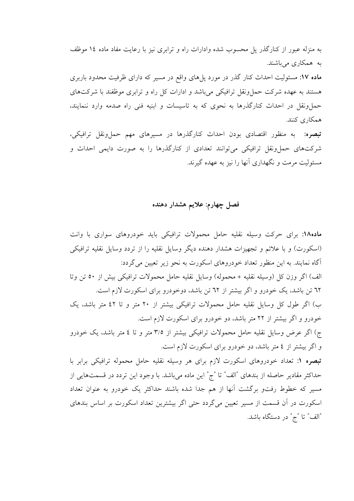به منزله عبور از کنارگذر پل محسوب شده وادارات راه و ترابری نیز با رعایت مفاد ماده ١٤ موظف به همکاری می باشند.

ماده ۱۷: مسئولیت احداث کنار گذر در مورد پلهای واقع در مسیر که دارای ظرفیت محدود باربری هستند به عهده شرکت حمل ونقل ترافیکی می باشد و ادارات کل راه و ترابری موظفند با شرکتهای حملونقل در احداث کنارگذرها به نحوی که به تاسیسات و ابنیه فنی راه صدمه وارد ننمایند، همکاری کنند.

<mark>تبصره:</mark> به منظور اقتصادی بودن احداث کنارگذرها در مسیرهای مهم حمل ونقل ترافیکی، شرکتهای حمل ونقل ترافیکی می توانند تعدادی از کنارگذرها را به صورت دایمی احداث و مسئولیت مرمت و نگهداری آنها را نیز به عهده گیرند.

### فصل چهارم: علایم هشدار دهنده

ماده۱۸: برای حرکت وسیله نقلیه حامل محمولات ترافیکی باید خودروهای سواری با وانت (اسکورت) و با علائم و تجهیزات هشدار دهنده دیگر وسایل نقلیه را از تردد وسایل نقلیه ترافیکی آگاه نمایند. به این منظور تعداد خودروهای اسکورت به نحو زیر تعیین می گردد: الف) اگر وزن كل (وسيله نقليه + محموله) وسايل نقليه حامل محمولات ترافيكي بيش از ٥٠ تن وتا ٦٢ تن باشد، يک خودرو و اگر بيشتر از ٦٢ تن باشد، دوخودرو براي اسکورت لازم است. ب) اگر طول کل وسایل نقلیه حامل محمولات ترافیکی بیشتر از ۲۰ متر و تا ٤٢ متر باشد، یک خودرو و اگر بیشتر از ۲۲ متر باشد، دو خودرو برای اسکورت لازم است. ج) اگر عرض وسایل نقلیه حامل محمولات ترافیکی بیشتر از ۳/٥ متر و تا ٤ متر باشد، یک خودرو و اگر بیشتر از ٤ متر باشد، دو خودرو برای اسکورت لازم است. تبصره ۱: تعداد خودروهای اسکورت لازم برای هر وسیله نقلیه حامل محموله ترافیکی برابر با حداکثر مقادیر حاصله از بندهای "الف" تا "ج" این ماده میباشد. با وجود این تردد در قسمتهایی از مسیر که خطوط رفتو برگشت آنها از هم جدا شده باشند حداکثر یک خودرو به عنوان تعداد اسکورت در آن قسمت از مسیر تعیین می گردد حتی اگر بیشترین تعداد اسکورت بر اساس بندهای "الف" تا "ج" در دستگاه باشد.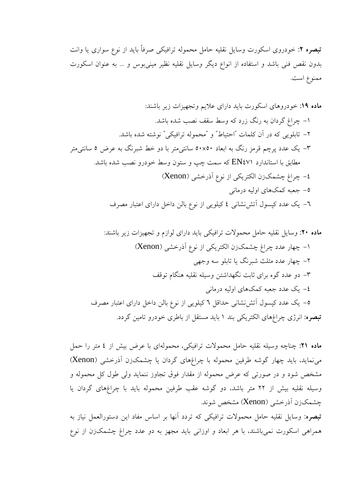**تبصره ۲**: خودروی اسکورت وسایل نقلیه حامل محموله ترافیکی صرفاً باید از نوع سواری یا وانت بدون نقص فنی باشد و استفاده از انواع دیگر وسایل نقلیه نظیر مینیبوس و … به عنوان اسکورت ممنوع است.

ماده ٢١: چناچه وسیله نقلیه حامل محمولات ترافیکی، محمولهای با عرض بیش از ٤ متر را حمل می نماید، باید چهار گوشه طرفین محموله با چراغهای گردان یا چشمکزن آذرخشی (Xenon) مشخص شود و در صورتی که عرض محموله از مقدار فوق تجاوز ننماید ولی طول کل محموله و وسیله نقلیه بیش از ۲۲ متر باشد، دو گوشه عقب طرفین محموله باید با چراغهای گردان یا چشمکزن اَذرخشي (Xenon) مشخص شوند. <mark>تبصره:</mark> وسایل نقلیه حامل محمولات ترافیکی که تردد آنها بر اساس مفاد این دستورالعمل نیاز به همراهی اسکورت نمیباشند، با هر ابعاد و اوزانی باید مجهز به دو عدد چراغ چشمکزن از نوع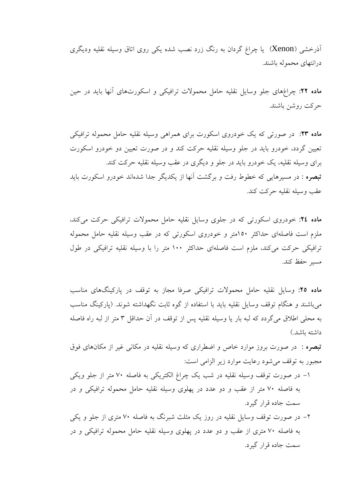آذرخشی (Xenon) یا چراغ گردان به رنگ زرد نصب شده یکی روی اتاق وسیله نقلیه ودیگری درانتهای محموله باشند.

ماده ۲۲: چراغهای جلو وسایل نقلیه حامل محمولات ترافیکی و اسکورتهای آنها باید در حین حركت روشن باشند.

ماده ۲۳: در صورتی که یک خودروی اسکورت برای همراهی وسیله نقلیه حامل محموله ترافیکی تعیین گردد، خودرو باید در جلو وسیله نقلیه حرکت کند و در صورت تعیین دو خودرو اسکورت برای وسیله نقلیه، یک خودرو باید در جلو و دیگری در عقب وسیله نقلیه حرکت کند. **تبصره :** در مسیرهایی که خطوط رفت و برگشت آنها از یکدیگر جدا شدهاند خودرو اسکورت باید عقب وسيله نقليه حركت كند.

ماده ٢٤: خودروی اسکورتی که در جلوی وسایل نقلیه حامل محمولات ترافیکی حرکت می کند، ملزم است فاصلهای حداکثر ۱۵۰متر و خودروی اسکورتی که در عقب وسیله نقلیه حامل محموله ترافیکی حرکت میکند، ملزم است فاصلهای حداکثر ۱۰۰ متر را با وسیله نقلیه ترافیکی در طول مسىر حفظ كند.

ماده ٢٥: وسایل نقلیه حامل محمولات ترافیکی صرفا مجاز به توقف در پارکینگهای مناسب می باشند و هنگام توقف وسایل نقلیه باید با استفاده از گوه ثابت نگهداشته شوند. (پارکینگ مناسب به محلي اطلاق مي گردد كه لبه بار يا وسيله نقليه پس از توقف در آن حداقل ۳ متر از لبه راه فاصله داشته ىاشد.)

**تبصره** : در صورت بروز موارد خاص و اضطراری که وسیله نقلیه در مکان<sub>ی</sub> غیر از مکانهای فوق مجبور به توقف می شود رعایت موارد زیر الزامی است:

- ١- در صورت توقف وسيله نقليه در شب يک چراغ الکتريکي به فاصله ٧٠ متر از جلو ويکي به فاصله ۷۰ متر از عقب و دو عدد در یهلوی وسیله نقلیه حامل محموله ترافیکی و در سمت جاده قرار گیرد.
- ۲– در صورت توقف وسایل نقلیه در روز یک مثلث شبرنگ به فاصله ۷۰ متری از جلو و یکی به فاصله ۷۰ متری از عقب و دو عدد در پهلوی وسیله نقلیه حامل محموله ترافیکی و در سمت جاده قرار گیرد.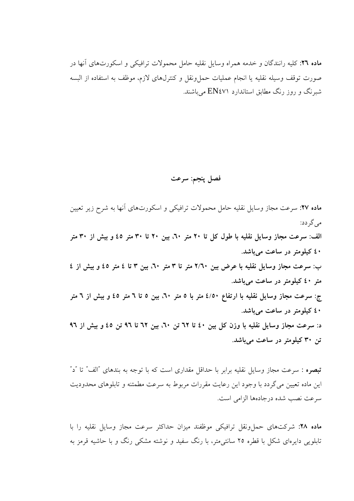ماده ٢٦: كليه رانندگان و خدمه همراه وسايل نقليه حامل محمولات ترافيكي و اسكورتهاي آنها در صورت توقف وسيله نقليه يا انجام عمليات حملونقل و كنترلهاى لازم، موظف به استفاده از البسه شبرنگ و روز رنگ مطابق استاندارد EN٤٧۱ میباشند.

فصل ينجم: سرعت

ماده ۲۷: سرعت مجاز وسایل نقلیه حامل محمولات ترافیکی و اسکورتهای آنها به شرح زیر تعیین مے گے دد: الف: سرعت مجاز وسایل نقلیه با طول کل تا ۲۰ متر ۲۰، بین ۲۰ تا ۳۰ متر ٤٥ و بیش از ۳۰ متر ٤٠ كيلومتر در ساعت مي باشد. ب: سرعت مجاز وسایل نقلیه با عرض بین ۲/٦٠ متر تا ٣ متر ٢٠، بین ٣ تا ٤ متر ٤٥ و بیش از ٤ متر ٤٠ كيلومتر در ساعت مي باشد. ج: سرعت مجاز وسایل نقلیه با ارتفاع ٤/٥٠ متر با ٥ متر ٦٠، بین ٥ تا ٦ متر ٤٥ و بیش از ٦ متر ٤٠ كيلومتر در ساعت مي باشد. د: سرعت مجاز وسایل نقلیه با وزن کل بین ٤٠ تا ٦٢ تن ٦٠، بین ٦٢ تا ٩٦ تن ٤٥ و بیش از ٩٦ تن ۳۰ کیلومتر در ساعت میباشد.

<mark>تبصره :</mark> سرعت مجاز وسایل نقلیه برابر با حداقل مقداری است که با توجه به بندهای "الف" تا "د" این ماده تعیین می گردد با وجود این رعایت مقررات مربوط به سرعت مطمئنه و تابلوهای محدودیت سرعت نصب شده در جادهها الزامی است.

ماده ۲۸: شرکتهای حمل ونقل ترافیکی موظفند میزان حداکثر سرعت مجاز وسایل نقلیه را با تابلویی دایرهای شکل با قطره ۲۵ سانتی متر، با رنگ سفید و نوشته مشکی رنگ و با حاشیه قرمز به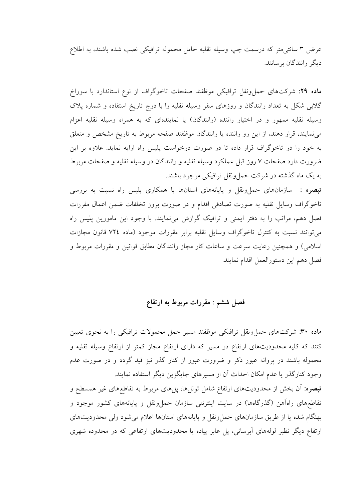عرض ٣ سانتي متر كه درسمت چپ وسيله نقليه حامل محموله ترافيكي نصب شده باشند، به اطلاع دىگە رانندگان بوسانند.

ماده ۲۹: شرکتهای حمل ونقل ترافیکی موظفند صفحات تاخوگراف از نوع استاندارد با سوراخ گلابی شکل به تعداد رانندگان و روزهای سفر وسیله نقلیه را با درج تاریخ استفاده و شماره پلاک وسیله نقلیه ممهور و در اختیار راننده (رانندگان) یا نمایندهای که به همراه وسیله نقلیه اعزام می نمایند، قرار دهند، از این رو راننده یا رانندگان موظفند صفحه مربوط به تاریخ مشخص و متعلق به خود را در تاخوگراف قرار داده تا در صورت درخواست پلیس راه ارایه نماید. علاوه بر این ضرورت دارد صفحات ۷ روز قبل عملکرد وسیله نقلیه و رانندگان در وسیله نقلیه و صفحات مربوط به یک ماه گذشته در شرکت حما ونقل ترافیکی موجود باشند.

**تبصره :** سازمانهای حملوونقل و پایانههای استانها با همکاری پلیس راه نسبت به بررسی تاخوگراف وسایل نقلیه به صورت تصادفی اقدام و در صورت بروز تخلفات ضمن اعمال مقررات فصل دهم، مراتب را به دفتر ایمنی و ترافیک گرازش می نمایند. با وجود این مامورین پلیس راه می توانند نسبت به کنترل تاخوگراف وسایل نقلیه برابر مقررات موجود (ماده ۷۲٤ قانون مجازات اسلامی) و همچنین رعایت سرعت و ساعات کار مجاز رانندگان مطابق قوانین و مقررات مربوط و فصل دهم اين دستورالعمل اقدام نمايند.

# فصل ششم : مقررات مربوط به ارتقاع

ماده ۳۰: شرکتهای حمل ونقل ترافیکی موظفند مسیر حمل محمولات ترافیکی را به نحوی تعیین کنند که کلیه محدودیتهای ارتفاع در مسیر که دارای ارتفاع مجاز کمتر از ارتفاع وسیله نقلیه و محموله باشند در پروانه عبور ذکر و ضرورت عبور از کنار گذر نیز قید گردد و در صورت عدم وجود کنارگذر یا عدم امکان احداث آن از مسیرهای جایگزین دیگر استفاده نمایند. **تبصره:** أن بخش از محدودیتهای ارتفاع شامل تونلها، پلهای مربوط به تقاطعهای غیر همسطح و تقاطعهای راهآهن (گذرگاهها) در سایت اینترنتی سازمان حملونقل و پایانههای کشور موجود و بهنگام شده یا از طریق سازمانهای حمل ونقل و پایانههای استانها اعلام می شود ولی محدودیتهای ارتفاع دیگر نظیر لولههای آبرسانی، پل عابر پیاده یا محدودیتهای ارتفاعی که در محدوده شهری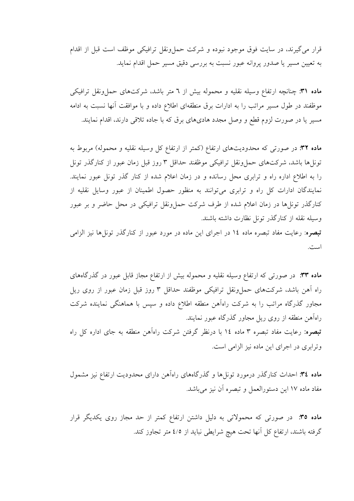قرار می گیرند، در سایت فوق موجود نبوده و شرکت حمل ونقل ترافیکی موظف است قبل از اقدام به تعیین مسیر یا صدور پروانه عبور نسبت به بررسی دقیق مسیر حمل اقدام نماید.

ماده ۳۱: چنانچه ارتفاع وسیله نقلیه و محموله بیش از ٦ متر باشد، شرکتهای حمل ونقل ترافیکی موظفند در طول مسیر مراتب را به ادارات برق منطقهای اطلاع داده و با موافقت آنها نسبت به ادامه مسیر یا در صورت لزوم قطع و وصل مجدد هادیهای برق که با جاده تلاقی دارند، اقدام نمایند.

ماده ۳۲: در صورتی که محدودیتهای ارتفاع (کمتر از ارتفاع کل وسیله نقلیه و محموله) مربوط به تونلها باشد، شركتهاى حمل ونقل ترافيكي موظفند حداقل ٣ روز قبل زمان عبور از كنارگذر تونل را به اطلاع اداره راه و ترابری محل رسانده و در زمان اعلام شده از کنار گذر تونل عبور نمایند. نمایندگان ادارات کل راه و ترابری میتوانند به منظور حصول اطمینان از عبور وسایل نقلیه از کنارگذر تونلها در زمان اعلام شده از طرف شرکت حمل،ونقل ترافیکی در محل حاضر و بر عبور وسيله نقله از كنارگذر تونل نظارت داشته باشند.

<mark>تبصره</mark>: رعایت مفاد تبصره ماده ۱۶ در اجرای این ماده در مورد عبور از کنارگذر تونل ها نیز الزامی است.

ماده ۳۳: در صورتی که ارتفاع وسیله نقلیه و محموله بیش از ارتفاع مجاز قابل عبور در گذرگاههای راه آهن باشد، شرکتهای حمل ونقل ترافیکی موظفند حداقل ۳ روز قبل زمان عبور از روی ریل مجاور گذرگاه مراتب را به شرکت راهآهن منطقه اطلاع داده و سپس با هماهنگی نماینده شرکت راهآهن منطقه از روی ریل مجاور گذرگاه عبور نمایند. **تبصره:** رعایت مفاد تبصره ۳ ماده ۱۶ با درنظر گرفتن شرکت راهآهن منطقه به جای اداره کل راه وترابری در اجرای این ماده نیز الزامی است.

ماده ٣٤: احداث كنارگذر درمورد تونلها و گذرگاههاى راهآهن داراى محدوديت ارتفاع نيز مشمول مفاد ماده ١٧ اين دستورالعمل و تبصره أن نيز مي باشد.

ماده ٣٥: در صورتی که محمولاتی به دلیل داشتن ارتفاع کمتر از حد مجاز روی یکدیگر قرار گرفته باشند، ارتفاع کل آنها تحت هیچ شرایطی نباید از ٤/٥ متر تجاوز کند.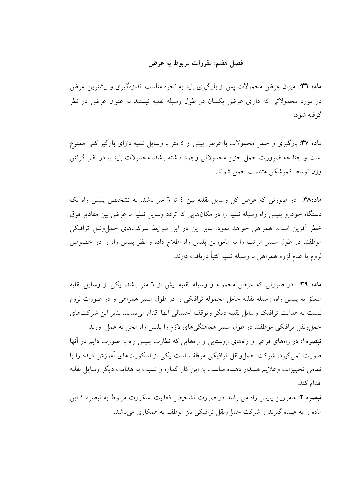فصل هفتم: مقررات مربوط به عرض

ماده ۳۱: میزان عرض محمولات پس از بارگیری باید به نحوه مناسب اندازهگیری و بیشترین عرض در مورد محمولاتی که دارای عرض یکسان در طول وسیله نقلیه نیستند به عنوان عرض در نظر گر فته شو د.

ماده ۳۷: بارگیری و حمل محمولات با عرض بیش از ٥ متر با وسایل نقلیه دارای بارگیر کفی ممنوع است و چنانچه ضرورت حمل چنین محمولاتی وجود داشته باشد، محمولات باید با در نظر گرفتن وزن توسط كمرشكن متناسب حمل شوند.

ماده۳۸: در صورتی که عرض کل وسایل نقلیه بین ٤ تا ٦ متر باشد، به تشخیص پلیس راه یک دستگاه خودرو پلیس راه وسیله نقلیه را در مکانهایی که تردد وسایل نقلیه با عرض بین مقادیر فوق خطر آفرین است، همراهی خواهد نمود. بنابر این در این شرایط شرکتهای حملونقل ترافیکی موظفند در طول مسیر مراتب را به مامورین پلیس راه اطلاع داده و نظر پلیس راه را در خصوص لزوم يا عدم لزوم همراهي با وسيله نقليه كتباً دريافت دارند.

ماده ۳۹: در صورتی که عرض محموله و وسیله نقلیه بیش از ٦ متر باشد، یکی از وسایل نقلیه متعلق به پلیس راه، وسیله نقلیه حامل محموله ترافیکی را در طول مسیر همراهی و در صورت لزوم نسبت به هدایت ترافیک وسایل نقلیه دیگر وتوقف احتمالی آنها اقدام می نماید. بنابر این شرکتهای حملونقل ترافیکی موظفند در طول مسیر هماهنگیهای لازم را پلیس راه محل به عمل آورند. <mark>تبصره۱:</mark> در راههای فرعی و راههای روستایی و راههایی که نظارت پلیس راه به صورت دایم در آنها صورت نمی گیرد، شرکت حمل ونقل ترافیکی موظف است یکی از اسکورتهای آموزش دیده را با تمامی تجهیزات وعلایم هشدار دهنده مناسب به این کار گماره و نسبت به هدایت دیگر وسایل نقلیه اقدام كند.

<mark>تبصره ۲:</mark> مامورین پلیس راه می توانند در صورت تشخیص فعالیت اسکورت مربوط به تبصره ۱ این ماده را به عهده گیرند و شرکت حمل ونقل ترافیکی نیز موظف به همکاری می باشد.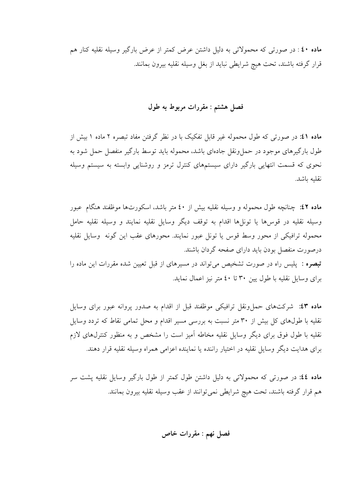ماده ٤٠ : در صورتي كه محمولاتي به دليل داشتن عرض كمتر از عرض بارگير وسيله نقليه كنار هم قرار گرفته باشند، تحت هيچ شرايطي نبايد از بغل وسيله نقليه بيرون بمانند.

# فصل هشتم : مقررات مربوط به طول

ماده ٤١: در صورتی که طول محموله غیر قابل تفکیک با در نظر گرفتن مفاد تبصره ٢ ماده ١ بیش از طول بارگیرهای موجود در حمل ونقل جادهای باشد، محموله باید توسط بارگیر منفصل حمل شود به نحوی که قسمت انتهایی بارگیر دارای سیستمهای کنترل ترمز و روشنایی وابسته به سیستم وسیله نقلىه ىاشد.

ماده ٤٢: چنانچه طول محموله و وسیله نقلیه بیش از ٤٠ متر باشد، اسکورتها موظفند هنگام عبور وسيله نقليه در قوس ها يا تونا ها اقدام به توقف ديگر وسايل نقليه نمايند و وسيله نقليه حامل محموله ترافیکی از محور وسط قوس یا تونل عبور نمایند. محورهای عقب این گونه وسایل نقلیه درصورت منفصل بودن بايد داراي صفحه گردان باشند. تبصره : پلیس راه در صورت تشخیص می تواند در مسیرهای از قبل تعیین شده مقررات این ماده را برای وسایل نقلیه با طول پین ۳۰ تا ٤٠ متر نیز اعمال نماید.

ماده ٤٣: شركتهاى حملونقل ترافيكي موظفند قبل از اقدام به صدور پروانه عبور براى وسايل نقلیه با طولهای کل بیش از ۳۰ متر نسبت به بررسی مسیر اقدام و محل تمامی نقاط که تردد وسایل نقلیه با طول فوق برای دیگر وسایل نقلیه مخاطه آمیز است را مشخص و به منظور کنترلهای لازم برای هدایت دیگر وسایل نقلیه در اختیار راننده یا نماینده اعزامی همراه وسیله نقلیه قرار دهند.

ماده ٤٤: در صورتی که محمولاتی به دلیل داشتن طول کمتر از طول بارگیر وسایل نقلیه پشت سر هم قرار گرفته باشند، تحت هیچ شرایطی نمیٍتوانند از عقب وسیله نقلیه بیرون بمانند.

فصل نهم : مقررات خاص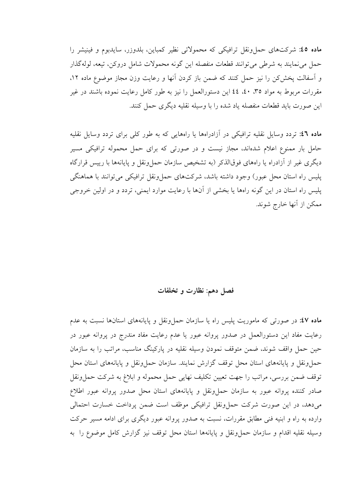ماده ٤٥: شركتهاي حمل ونقل ترافيكي كه محمولاتي نظير كمباين، بلدوزر، سايدبوم و فينيشر را حمل مي نمايند به شرطي مي توانند قطعات منفصله اين گونه محمولات شامل دروكن، تيعه، لولهگذار و اسفالت یخش کن را نیز حمل کنند که ضمن باز کردن انها و رعایت وزن مجاز موضوع ماده ۱۲، مقررات مربوط به مواد ٣٥، ٤٠، ٤٤ اين دستورالعمل را نيز به طور كامل رعايت نموده باشند در غير این صورت باید قطعات منفصله یاد شده را با وسیله نقلیه دیگری حمل کنند.

ماده ٤٦: تردد وسایل نقلیه ترافیکی در آزادراهها یا راههایی که به طور کلی برای تردد وسایل نقلیه حامل بار ممنوع اعلام شدهاند، مجاز نیست و در صورتی که برای حمل محموله ترافیکی مسیر دیگری غیر از آزادراه یا راههای فوقالذکر (به تشخیص سازمان حمل ونقل و پایانهها با رییس قرارگاه پلیس راه استان محل عبور) وجود داشته باشد، شرکتهای حمل ونقل ترافیکی می توانند با هماهنگی پلیس راه استان در این گونه راهها یا بخشی از آنها با رعایت موارد ایمنی، تردد و در اولین خروجی ممكن از آنها خارج شوند.

# فصل دهم: نظارت و تخلفات

ماده ٤٧: در صورتی که ماموریت پلیس راه یا سازمان حملونقل و پایانههای استانها نسبت به عدم رعایت مفاد این دستورالعمل در صدور پروانه عبور یا عدم رعایت مفاد مندرج در پروانه عبور در حین حمل واقف شوند، ضمن متوقف نمودن وسیله نقلیه در یارکینگ مناسب، مراتب را به سازمان حملونقل و پایانههای استان محل توقف گزارش نمایند. سازمان حملونقل و پایانههای استان محل توقف ضمن بررسي، مراتب را جهت تعيين تكليف نهايي حمل محموله و ابلاغ به شركت حمل ونقل صادر کننده پروانه عبور به سازمان حملٍ ونقل و پایانههای استان محل صدور پروانه عبور اطلاع میدهد، در این صورت شرکت حملونقل ترافیکی موظف است ضمن پرداخت خسارت احتمالی وارده به راه و ابنیه فنی مطابق مقررات، نسبت به صدور پروانه عبور دیگری برای ادامه مسیر حرکت وسيله نقليه اقدام و سازمان حمل ونقل و پايانهها استان محل توقف نيز گزارش كامل موضوع را به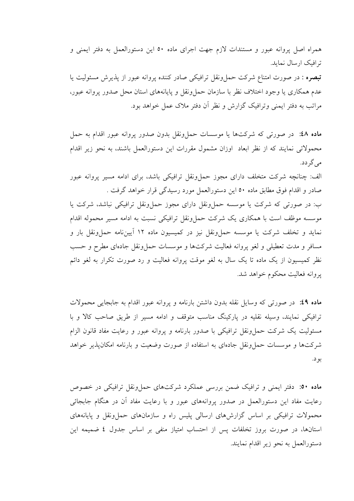همراه اصل پروانه عبور و مستندات لازم جهت اجرای ماده ٥٠ این دستورالعمل به دفتر ایمنی و ترافیک ارسال نماید.

**تبصره :** در صورت امتناع شرکت حملونقل ترافیکی صادر کننده پروانه عبور از پذیرش مسئولیت یا عدم همکاری یا وجود اختلاف نظر با سازمان حمل ونقل و پایانههای استان محل صدور پروانه عبور، مراتب به دفتر ایمنی وترافیک گزارش و نظر آن دفتر ملاک عمل خواهد بود.

ماده ٤٨: در صورتي كه شركتها يا موسسات حمل ونقل بدون صدور يروانه عبور اقدام به حمل محمولاتی نمایند که از نظر ابعاد ً اوزان مشمول مقررات این دستورالعمل باشند، به نحو زیر اقدام می گر دد.

الف: چنانچه شرکت متخلف دارای مجوز حمل ونقل ترافیکی باشد، برای ادامه مسیر پروانه عبور صادر و اقدام فوق مطابق ماده ٥٠ اين دستورالعمل مورد رسيدگي قرار خواهد گرفت .

ب: در صورتی که شرکت یا موسسه حمل ونقل دارای مجوز حمل ونقل ترافیکی نباشد، شرکت یا موسسه موظف است با همکاری یک شرکت حمل ونقل ترافیکی نسبت به ادامه مسیر محموله اقدام نماید و تخلف شرکت یا موسسه حمل ونقل نیز در کمیسیون ماده ۱۲ آییننامه حمل ونقل بار و مسافر و مدت تعطیلی و لغو پروانه فعالیت شرکتها و موسسات حمل ونقل جادهای مطرح و حسب نظر کمیسیون از یک ماده تا یک سال به لغو موقت پروانه فعالیت و رد صورت تکرار به لغو دائم يروانه فعاليت محكوم خواهد شد.

ماده ٤٩: در صورتي كه وسايل نقله بدون داشتن بارنامه و يروانه عبور اقدام به جابجايي محمولات ترافیکی نمایند، وسیله نقلیه در پارکینگ مناسب متوقف و ادامه مسیر از طریق صاحب کالا و با مسئولیت یک شرکت حمل ونقل ترافیکی با صدور بارنامه و پروانه عبور و رعایت مفاد قانون الزام شرکتها و موسسات حمل ونقل جادهای به استفاده از صورت وضعیت و بارنامه امکان پذیر خواهد بو د.

ماده ٥٠: دفتر ايمني و ترافيک ضمن بررسي عملکرد شرکتهای حملونقل ترافيکي در خصوص رعایت مفاد این دستورالعمل در صدور پروانههای عبور و با رعایت مفاد آن در هنگام جابجائی محمولات ترافیکی بر اساس گزارشهای ارسالی پلیس راه و سازمانهای حمل ونقل و پایانههای استانها، در صورت بروز تخلفات پس از احتساب امتیاز منفی بر اساس جدول ٤ ضمیمه این دستورالعمل به نحو زير اقدام نمايند.